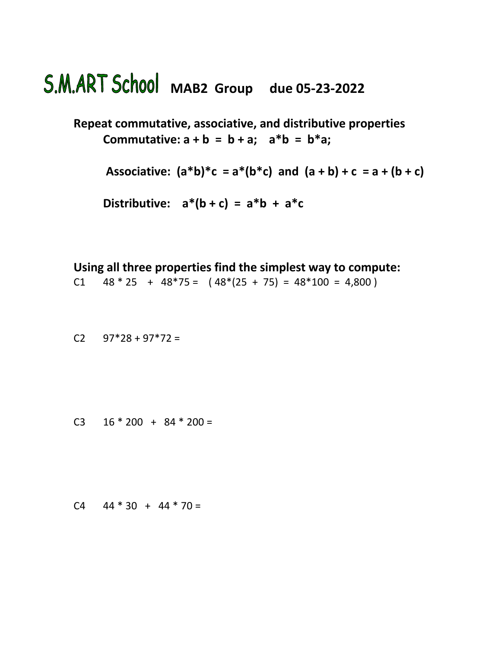## **MAB2 Group due 05-23-2022**

**Repeat commutative, associative, and distributive properties Commutative:**  $a + b = b + a$ ;  $a^*b = b^*a$ ;

Associative:  $(a*b)*c = a*(b*c)$  and  $(a + b) + c = a + (b + c)$ 

Distributive:  $a^*(b+c) = a^*b + a^*c$ 

**Using all three properties find the simplest way to compute:**

C1  $48 * 25 + 48 * 75 = (48 * (25 + 75)) = 48 * 100 = 4,800$ 

C2  $97*28 + 97*72 =$ 

C3  $16 * 200 + 84 * 200 =$ 

 $C4$  44  $*$  30 + 44  $*$  70 =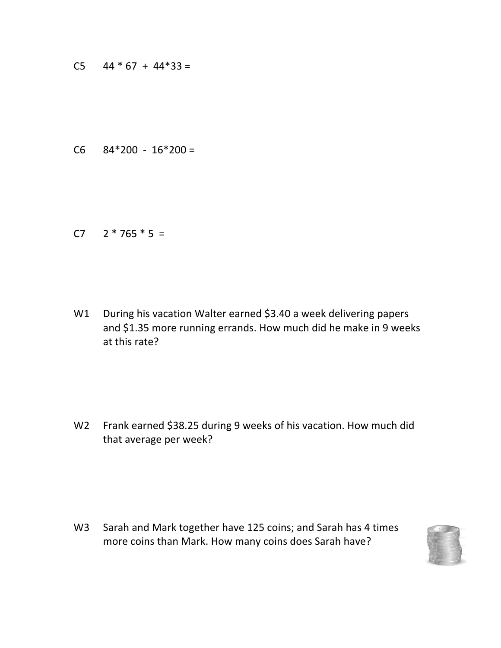C5  $44 * 67 + 44 * 33 =$ 

C6  $84*200 - 16*200 =$ 

C7  $2 * 765 * 5 =$ 

W1 During his vacation Walter earned \$3.40 a week delivering papers and \$1.35 more running errands. How much did he make in 9 weeks at this rate?

W2 Frank earned \$38.25 during 9 weeks of his vacation. How much did that average per week?

W3 Sarah and Mark together have 125 coins; and Sarah has 4 times more coins than Mark. How many coins does Sarah have?

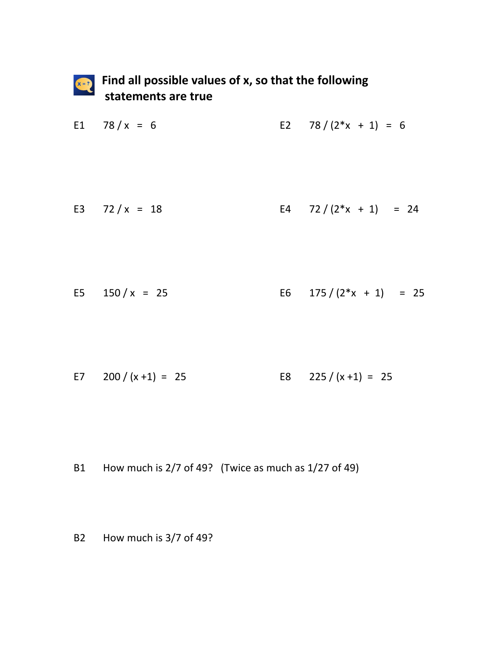

## **Find all possible values of x, so that the following statements are true**

E1  $78 / x = 6$  E2  $78 / (2^* x + 1) = 6$ 

E3  $72 / x = 18$  E4  $72 / (2^* x + 1) = 24$ 

E5  $150 / x = 25$  E6  $175 / (2*x + 1) = 25$ 

E7  $200 / (x + 1) = 25$  E8  $225 / (x + 1) = 25$ 

- B1 How much is 2/7 of 49? (Twice as much as 1/27 of 49)
- B2 How much is 3/7 of 49?